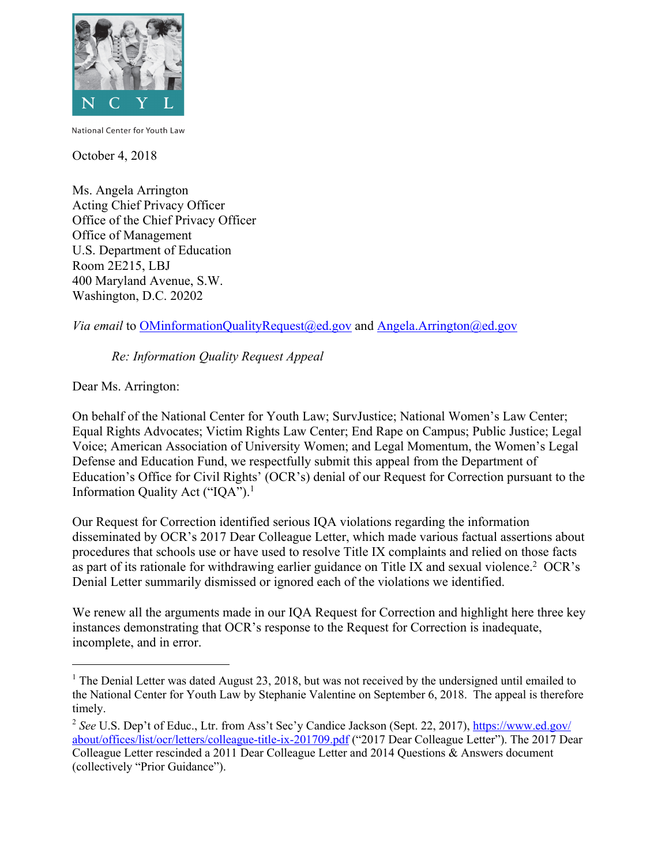

National Center for Youth Law

October 4, 2018

Ms. Angela Arrington Acting Chief Privacy Officer Office of the Chief Privacy Officer Office of Management U.S. Department of Education Room 2E215, LBJ 400 Maryland Avenue, S.W. Washington, D.C. 20202

*Via email* to OMinformationQualityRequest@ed.gov and Angela.Arrington@ed.gov

*Re: Information Quality Request Appeal* 

Dear Ms. Arrington:

1

Information Quality Act ("IQA").<sup>1</sup> On behalf of the National Center for Youth Law; SurvJustice; National Women's Law Center; Equal Rights Advocates; Victim Rights Law Center; End Rape on Campus; Public Justice; Legal Voice; American Association of University Women; and Legal Momentum, the Women's Legal Defense and Education Fund, we respectfully submit this appeal from the Department of Education's Office for Civil Rights' (OCR's) denial of our Request for Correction pursuant to the

 Our Request for Correction identified serious IQA violations regarding the information as part of its rationale for withdrawing earlier guidance on Title IX and sexual violence.<sup>2</sup> OCR's Denial Letter summarily dismissed or ignored each of the violations we identified. disseminated by OCR's 2017 Dear Colleague Letter, which made various factual assertions about procedures that schools use or have used to resolve Title IX complaints and relied on those facts

 Denial Letter summarily dismissed or ignored each of the violations we identified. We renew all the arguments made in our IQA Request for Correction and highlight here three key instances demonstrating that OCR's response to the Request for Correction is inadequate, incomplete, and in error.

 $1$  The Denial Letter was dated August 23, 2018, but was not received by the undersigned until emailed to the National Center for Youth Law by Stephanie Valentine on September 6, 2018. The appeal is therefore timely.

<sup>&</sup>lt;sup>2</sup> See U.S. Dep't of Educ., Ltr. from Ass't Sec'y Candice Jackson (Sept. 22, 2017), https://www.ed.gov/ Colleague Letter rescinded a 2011 Dear Colleague Letter and 2014 Questions & Answers document about/offices/list/ocr/letters/colleague-title-ix-201709.pdf ("2017 Dear Colleague Letter"). The 2017 Dear (collectively "Prior Guidance").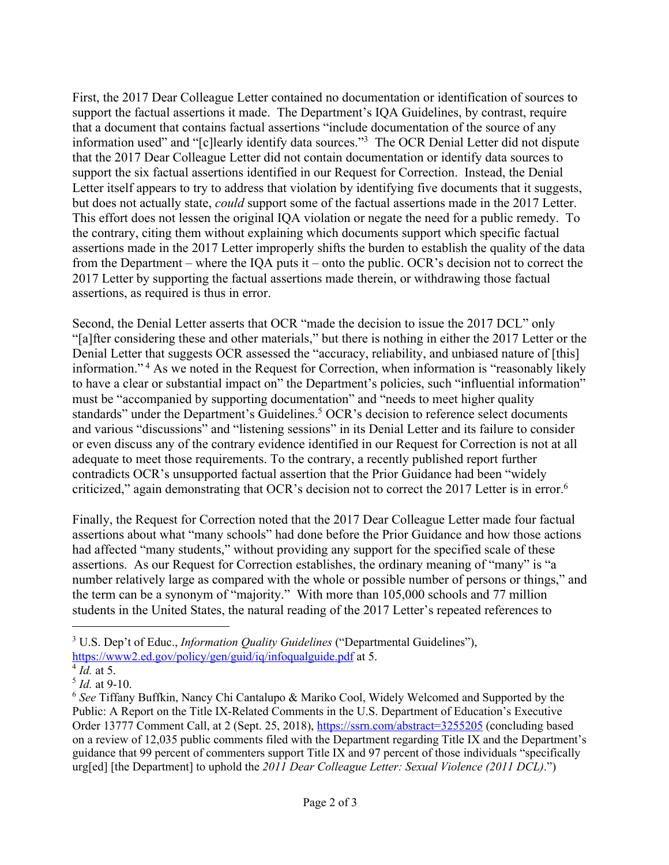that a document that contains factual assertions "include documentation of the source of any information used" and "[c]learly identify data sources."<sup>3</sup> The OCR Denial Letter did not dispute Letter itself appears to try to address that violation by identifying five documents that it suggests, This effort does not lessen the original IQA violation or negate the need for a public remedy. To the contrary, citing them without explaining which documents support which specific factual from the Department – where the IQA puts it – onto the public. OCR's decision not to correct the 2017 Letter by supporting the factual assertions made therein, or withdrawing those factual assertions, as required is thus in error. First, the 2017 Dear Colleague Letter contained no documentation or identification of sources to support the factual assertions it made. The Department's IQA Guidelines, by contrast, require that the 2017 Dear Colleague Letter did not contain documentation or identify data sources to support the six factual assertions identified in our Request for Correction. Instead, the Denial but does not actually state, *could* support some of the factual assertions made in the 2017 Letter. assertions made in the 2017 Letter improperly shifts the burden to establish the quality of the data

assertions, as required is thus in error.<br>Second, the Denial Letter asserts that OCR "made the decision to issue the 2017 DCL" only standards" under the Department's Guidelines.<sup>5</sup> OCR's decision to reference select documents criticized," again demonstrating that OCR's decision not to correct the 2017 Letter is in error.<sup>6</sup> "[a]fter considering these and other materials," but there is nothing in either the 2017 Letter or the Denial Letter that suggests OCR assessed the "accuracy, reliability, and unbiased nature of [this] information." <sup>4</sup> As we noted in the Request for Correction, when information is "reasonably likely to have a clear or substantial impact on" the Department's policies, such "influential information" must be "accompanied by supporting documentation" and "needs to meet higher quality and various "discussions" and "listening sessions" in its Denial Letter and its failure to consider or even discuss any of the contrary evidence identified in our Request for Correction is not at all adequate to meet those requirements. To the contrary, a recently published report further contradicts OCR's unsupported factual assertion that the Prior Guidance had been "widely

 Finally, the Request for Correction noted that the 2017 Dear Colleague Letter made four factual had affected "many students," without providing any support for the specified scale of these assertions. As our Request for Correction establishes, the ordinary meaning of "many" is "a the term can be a synonym of "majority." With more than 105,000 schools and 77 million assertions about what "many schools" had done before the Prior Guidance and how those actions number relatively large as compared with the whole or possible number of persons or things," and students in the United States, the natural reading of the 2017 Letter's repeated references to

-

 3 U.S. Dep't of Educ., *Information Quality Guidelines* ("Departmental Guidelines"),

https://www2.ed.gov/policy/gen/guid/iq/infoqualguide.pdf at 5.

 $\overline{4}$ *Id.* at 5.

<sup>5</sup>*Id.* at 9-10.

 <sup>6</sup>*See* Tiffany Buffkin, Nancy Chi Cantalupo & Mariko Cool, Widely Welcomed and Supported by the Public: A Report on the Title IX-Related Comments in the U.S. Department of Education's Executive Order 13777 Comment Call, at 2 (Sept. 25, 2018), https://ssrn.com/abstract=3255205 (concluding based on a review of 12,035 public comments filed with the Department regarding Title IX and the Department's guidance that 99 percent of commenters support Title IX and 97 percent of those individuals "specifically  urg[ed] [the Department] to uphold the *2011 Dear Colleague Letter: Sexual Violence (2011 DCL)*.")